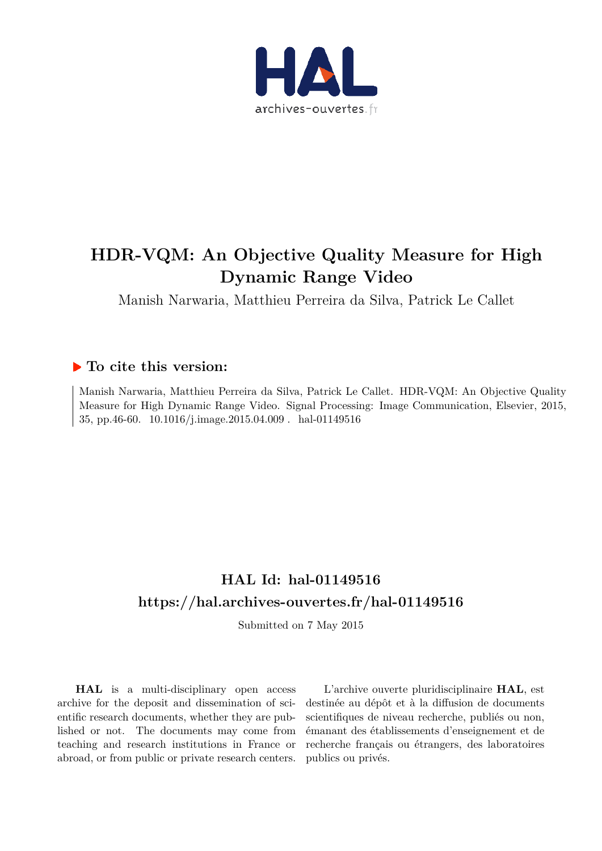

# **HDR-VQM: An Objective Quality Measure for High Dynamic Range Video**

Manish Narwaria, Matthieu Perreira da Silva, Patrick Le Callet

# **To cite this version:**

Manish Narwaria, Matthieu Perreira da Silva, Patrick Le Callet. HDR-VQM: An Objective Quality Measure for High Dynamic Range Video. Signal Processing: Image Communication, Elsevier, 2015, 35, pp.46-60. 10.1016/j.image.2015.04.009. hal-01149516

# **HAL Id: hal-01149516 https://hal.archives-ouvertes.fr/hal-01149516**

Submitted on 7 May 2015

**HAL** is a multi-disciplinary open access archive for the deposit and dissemination of scientific research documents, whether they are published or not. The documents may come from teaching and research institutions in France or abroad, or from public or private research centers.

L'archive ouverte pluridisciplinaire **HAL**, est destinée au dépôt et à la diffusion de documents scientifiques de niveau recherche, publiés ou non, émanant des établissements d'enseignement et de recherche français ou étrangers, des laboratoires publics ou privés.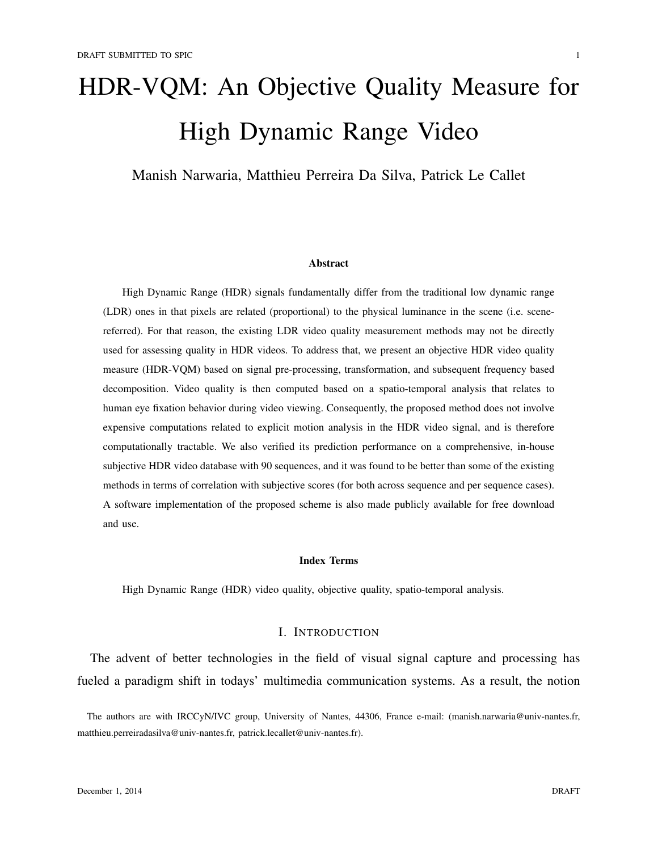# HDR-VQM: An Objective Quality Measure for High Dynamic Range Video

Manish Narwaria, Matthieu Perreira Da Silva, Patrick Le Callet

#### Abstract

High Dynamic Range (HDR) signals fundamentally differ from the traditional low dynamic range (LDR) ones in that pixels are related (proportional) to the physical luminance in the scene (i.e. scenereferred). For that reason, the existing LDR video quality measurement methods may not be directly used for assessing quality in HDR videos. To address that, we present an objective HDR video quality measure (HDR-VQM) based on signal pre-processing, transformation, and subsequent frequency based decomposition. Video quality is then computed based on a spatio-temporal analysis that relates to human eye fixation behavior during video viewing. Consequently, the proposed method does not involve expensive computations related to explicit motion analysis in the HDR video signal, and is therefore computationally tractable. We also verified its prediction performance on a comprehensive, in-house subjective HDR video database with 90 sequences, and it was found to be better than some of the existing methods in terms of correlation with subjective scores (for both across sequence and per sequence cases). A software implementation of the proposed scheme is also made publicly available for free download and use.

#### Index Terms

High Dynamic Range (HDR) video quality, objective quality, spatio-temporal analysis.

# I. INTRODUCTION

The advent of better technologies in the field of visual signal capture and processing has fueled a paradigm shift in todays' multimedia communication systems. As a result, the notion

The authors are with IRCCyN/IVC group, University of Nantes, 44306, France e-mail: (manish.narwaria@univ-nantes.fr, matthieu.perreiradasilva@univ-nantes.fr, patrick.lecallet@univ-nantes.fr).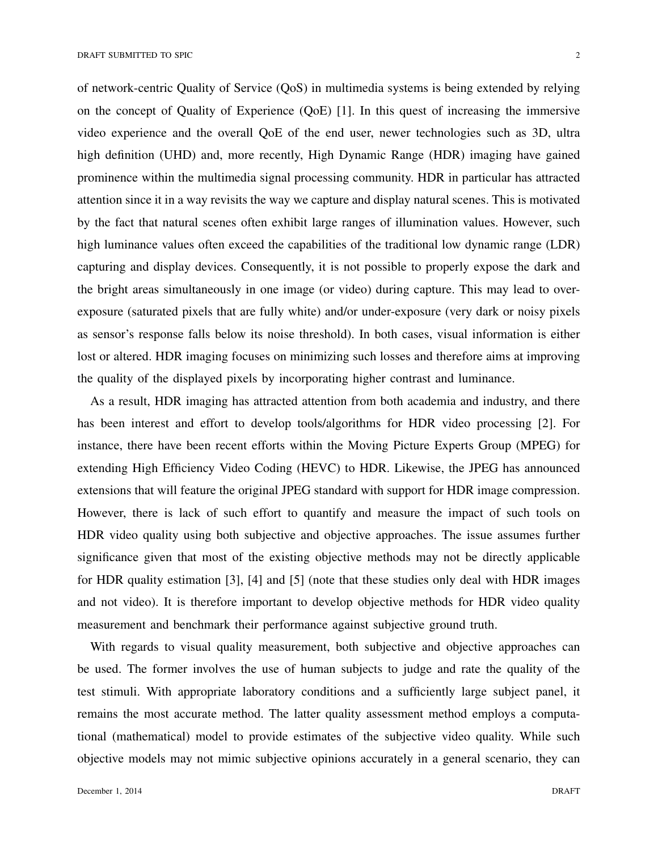of network-centric Quality of Service (QoS) in multimedia systems is being extended by relying on the concept of Quality of Experience (QoE) [1]. In this quest of increasing the immersive video experience and the overall QoE of the end user, newer technologies such as 3D, ultra high definition (UHD) and, more recently, High Dynamic Range (HDR) imaging have gained prominence within the multimedia signal processing community. HDR in particular has attracted attention since it in a way revisits the way we capture and display natural scenes. This is motivated by the fact that natural scenes often exhibit large ranges of illumination values. However, such high luminance values often exceed the capabilities of the traditional low dynamic range (LDR) capturing and display devices. Consequently, it is not possible to properly expose the dark and the bright areas simultaneously in one image (or video) during capture. This may lead to overexposure (saturated pixels that are fully white) and/or under-exposure (very dark or noisy pixels as sensor's response falls below its noise threshold). In both cases, visual information is either lost or altered. HDR imaging focuses on minimizing such losses and therefore aims at improving the quality of the displayed pixels by incorporating higher contrast and luminance.

As a result, HDR imaging has attracted attention from both academia and industry, and there has been interest and effort to develop tools/algorithms for HDR video processing [2]. For instance, there have been recent efforts within the Moving Picture Experts Group (MPEG) for extending High Efficiency Video Coding (HEVC) to HDR. Likewise, the JPEG has announced extensions that will feature the original JPEG standard with support for HDR image compression. However, there is lack of such effort to quantify and measure the impact of such tools on HDR video quality using both subjective and objective approaches. The issue assumes further significance given that most of the existing objective methods may not be directly applicable for HDR quality estimation [3], [4] and [5] (note that these studies only deal with HDR images and not video). It is therefore important to develop objective methods for HDR video quality measurement and benchmark their performance against subjective ground truth.

With regards to visual quality measurement, both subjective and objective approaches can be used. The former involves the use of human subjects to judge and rate the quality of the test stimuli. With appropriate laboratory conditions and a sufficiently large subject panel, it remains the most accurate method. The latter quality assessment method employs a computational (mathematical) model to provide estimates of the subjective video quality. While such objective models may not mimic subjective opinions accurately in a general scenario, they can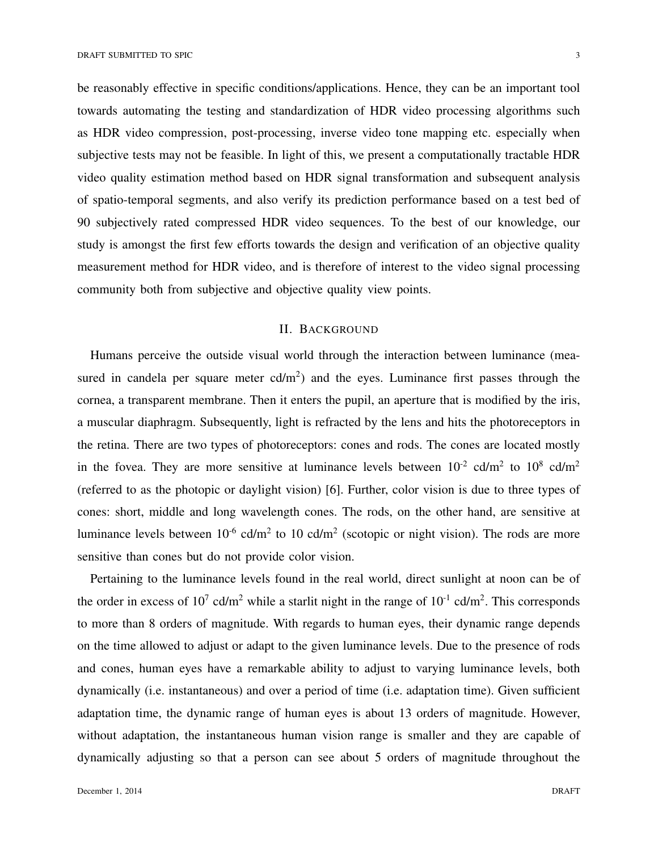be reasonably effective in specific conditions/applications. Hence, they can be an important tool towards automating the testing and standardization of HDR video processing algorithms such as HDR video compression, post-processing, inverse video tone mapping etc. especially when subjective tests may not be feasible. In light of this, we present a computationally tractable HDR video quality estimation method based on HDR signal transformation and subsequent analysis of spatio-temporal segments, and also verify its prediction performance based on a test bed of 90 subjectively rated compressed HDR video sequences. To the best of our knowledge, our study is amongst the first few efforts towards the design and verification of an objective quality measurement method for HDR video, and is therefore of interest to the video signal processing community both from subjective and objective quality view points.

# II. BACKGROUND

Humans perceive the outside visual world through the interaction between luminance (measured in candela per square meter  $cd/m<sup>2</sup>$  and the eyes. Luminance first passes through the cornea, a transparent membrane. Then it enters the pupil, an aperture that is modified by the iris, a muscular diaphragm. Subsequently, light is refracted by the lens and hits the photoreceptors in the retina. There are two types of photoreceptors: cones and rods. The cones are located mostly in the fovea. They are more sensitive at luminance levels between  $10^{-2}$  cd/m<sup>2</sup> to  $10^8$  cd/m<sup>2</sup> (referred to as the photopic or daylight vision) [6]. Further, color vision is due to three types of cones: short, middle and long wavelength cones. The rods, on the other hand, are sensitive at luminance levels between  $10^{-6}$  cd/m<sup>2</sup> to 10 cd/m<sup>2</sup> (scotopic or night vision). The rods are more sensitive than cones but do not provide color vision.

Pertaining to the luminance levels found in the real world, direct sunlight at noon can be of the order in excess of  $10^7$  cd/m<sup>2</sup> while a starlit night in the range of  $10^{-1}$  cd/m<sup>2</sup>. This corresponds to more than 8 orders of magnitude. With regards to human eyes, their dynamic range depends on the time allowed to adjust or adapt to the given luminance levels. Due to the presence of rods and cones, human eyes have a remarkable ability to adjust to varying luminance levels, both dynamically (i.e. instantaneous) and over a period of time (i.e. adaptation time). Given sufficient adaptation time, the dynamic range of human eyes is about 13 orders of magnitude. However, without adaptation, the instantaneous human vision range is smaller and they are capable of dynamically adjusting so that a person can see about 5 orders of magnitude throughout the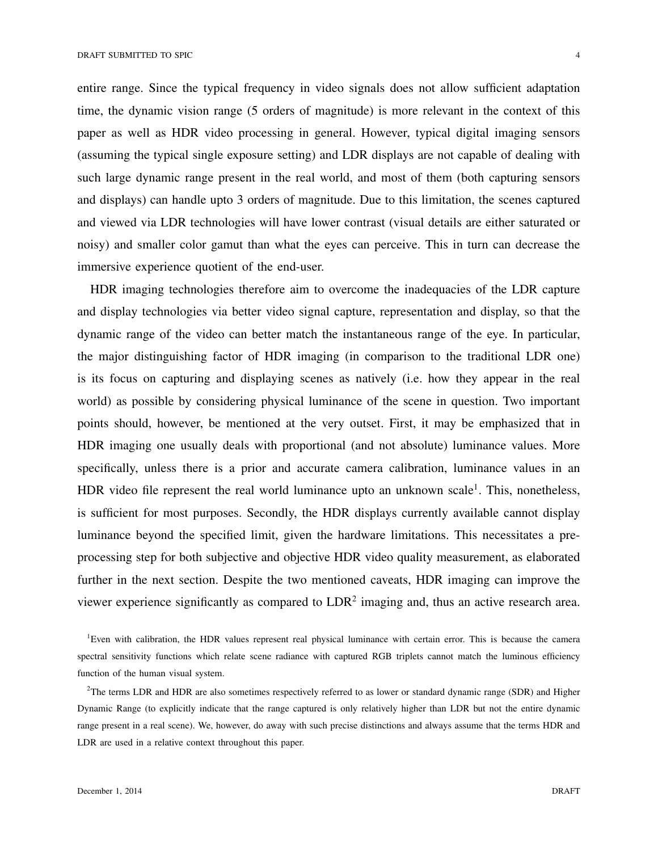entire range. Since the typical frequency in video signals does not allow sufficient adaptation time, the dynamic vision range (5 orders of magnitude) is more relevant in the context of this paper as well as HDR video processing in general. However, typical digital imaging sensors (assuming the typical single exposure setting) and LDR displays are not capable of dealing with such large dynamic range present in the real world, and most of them (both capturing sensors and displays) can handle upto 3 orders of magnitude. Due to this limitation, the scenes captured and viewed via LDR technologies will have lower contrast (visual details are either saturated or noisy) and smaller color gamut than what the eyes can perceive. This in turn can decrease the immersive experience quotient of the end-user.

HDR imaging technologies therefore aim to overcome the inadequacies of the LDR capture and display technologies via better video signal capture, representation and display, so that the dynamic range of the video can better match the instantaneous range of the eye. In particular, the major distinguishing factor of HDR imaging (in comparison to the traditional LDR one) is its focus on capturing and displaying scenes as natively (i.e. how they appear in the real world) as possible by considering physical luminance of the scene in question. Two important points should, however, be mentioned at the very outset. First, it may be emphasized that in HDR imaging one usually deals with proportional (and not absolute) luminance values. More specifically, unless there is a prior and accurate camera calibration, luminance values in an HDR video file represent the real world luminance upto an unknown scale<sup>1</sup>. This, nonetheless, is sufficient for most purposes. Secondly, the HDR displays currently available cannot display luminance beyond the specified limit, given the hardware limitations. This necessitates a preprocessing step for both subjective and objective HDR video quality measurement, as elaborated further in the next section. Despite the two mentioned caveats, HDR imaging can improve the viewer experience significantly as compared to  $LDR<sup>2</sup>$  imaging and, thus an active research area.

<sup>1</sup>Even with calibration, the HDR values represent real physical luminance with certain error. This is because the camera spectral sensitivity functions which relate scene radiance with captured RGB triplets cannot match the luminous efficiency function of the human visual system.

 ${}^{2}$ The terms LDR and HDR are also sometimes respectively referred to as lower or standard dynamic range (SDR) and Higher Dynamic Range (to explicitly indicate that the range captured is only relatively higher than LDR but not the entire dynamic range present in a real scene). We, however, do away with such precise distinctions and always assume that the terms HDR and LDR are used in a relative context throughout this paper.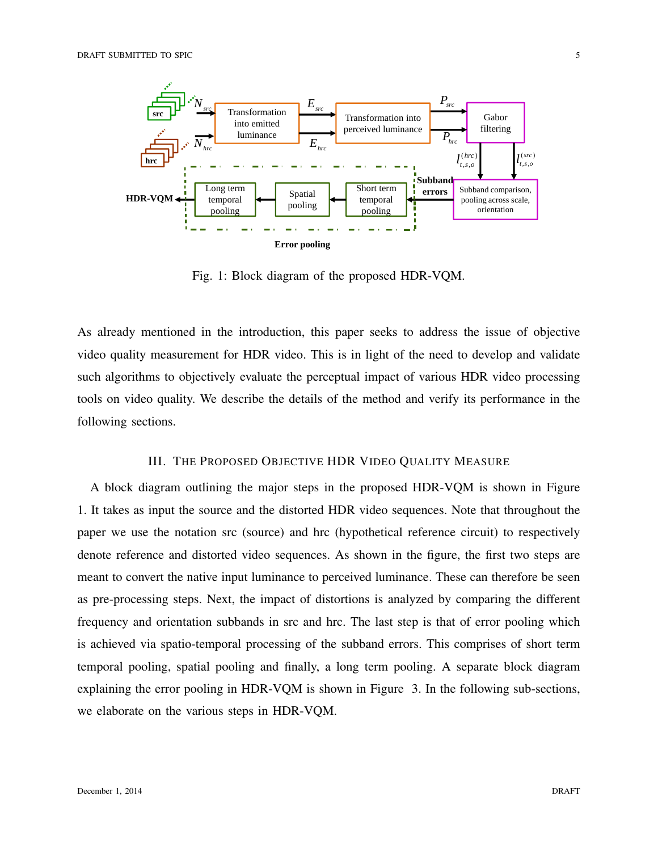

Fig. 1: Block diagram of the proposed HDR-VQM.

As already mentioned in the introduction, this paper seeks to address the issue of objective video quality measurement for HDR video. This is in light of the need to develop and validate such algorithms to objectively evaluate the perceptual impact of various HDR video processing tools on video quality. We describe the details of the method and verify its performance in the following sections.

#### III. THE PROPOSED OBJECTIVE HDR VIDEO QUALITY MEASURE

A block diagram outlining the major steps in the proposed HDR-VQM is shown in Figure 1. It takes as input the source and the distorted HDR video sequences. Note that throughout the paper we use the notation src (source) and hrc (hypothetical reference circuit) to respectively denote reference and distorted video sequences. As shown in the figure, the first two steps are meant to convert the native input luminance to perceived luminance. These can therefore be seen as pre-processing steps. Next, the impact of distortions is analyzed by comparing the different frequency and orientation subbands in src and hrc. The last step is that of error pooling which is achieved via spatio-temporal processing of the subband errors. This comprises of short term temporal pooling, spatial pooling and finally, a long term pooling. A separate block diagram explaining the error pooling in HDR-VQM is shown in Figure 3. In the following sub-sections, we elaborate on the various steps in HDR-VQM.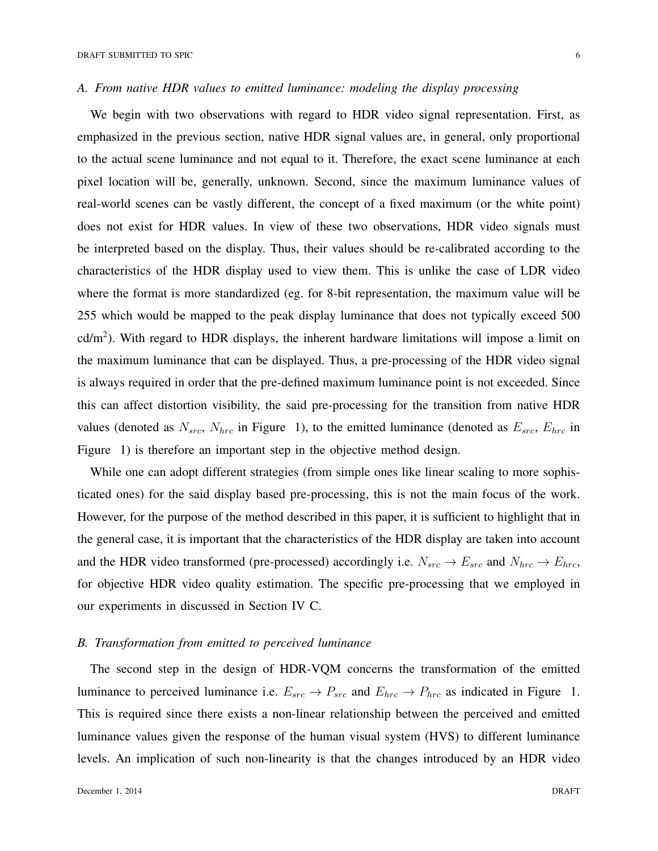## *A. From native HDR values to emitted luminance: modeling the display processing*

We begin with two observations with regard to HDR video signal representation. First, as emphasized in the previous section, native HDR signal values are, in general, only proportional to the actual scene luminance and not equal to it. Therefore, the exact scene luminance at each pixel location will be, generally, unknown. Second, since the maximum luminance values of real-world scenes can be vastly different, the concept of a fixed maximum (or the white point) does not exist for HDR values. In view of these two observations, HDR video signals must be interpreted based on the display. Thus, their values should be re-calibrated according to the characteristics of the HDR display used to view them. This is unlike the case of LDR video where the format is more standardized (eg. for 8-bit representation, the maximum value will be 255 which would be mapped to the peak display luminance that does not typically exceed 500  $\text{cd/m}^2$ ). With regard to HDR displays, the inherent hardware limitations will impose a limit on the maximum luminance that can be displayed. Thus, a pre-processing of the HDR video signal is always required in order that the pre-defined maximum luminance point is not exceeded. Since this can affect distortion visibility, the said pre-processing for the transition from native HDR values (denoted as  $N_{src}$ ,  $N_{hrc}$  in Figure 1), to the emitted luminance (denoted as  $E_{src}$ ,  $E_{hrc}$  in Figure 1) is therefore an important step in the objective method design.

While one can adopt different strategies (from simple ones like linear scaling to more sophisticated ones) for the said display based pre-processing, this is not the main focus of the work. However, for the purpose of the method described in this paper, it is sufficient to highlight that in the general case, it is important that the characteristics of the HDR display are taken into account and the HDR video transformed (pre-processed) accordingly i.e.  $N_{src} \rightarrow E_{src}$  and  $N_{hrc} \rightarrow E_{hrc}$ , for objective HDR video quality estimation. The specific pre-processing that we employed in our experiments in discussed in Section IV C.

#### *B. Transformation from emitted to perceived luminance*

The second step in the design of HDR-VQM concerns the transformation of the emitted luminance to perceived luminance i.e.  $E_{src} \rightarrow P_{src}$  and  $E_{hrc} \rightarrow P_{hrc}$  as indicated in Figure 1. This is required since there exists a non-linear relationship between the perceived and emitted luminance values given the response of the human visual system (HVS) to different luminance levels. An implication of such non-linearity is that the changes introduced by an HDR video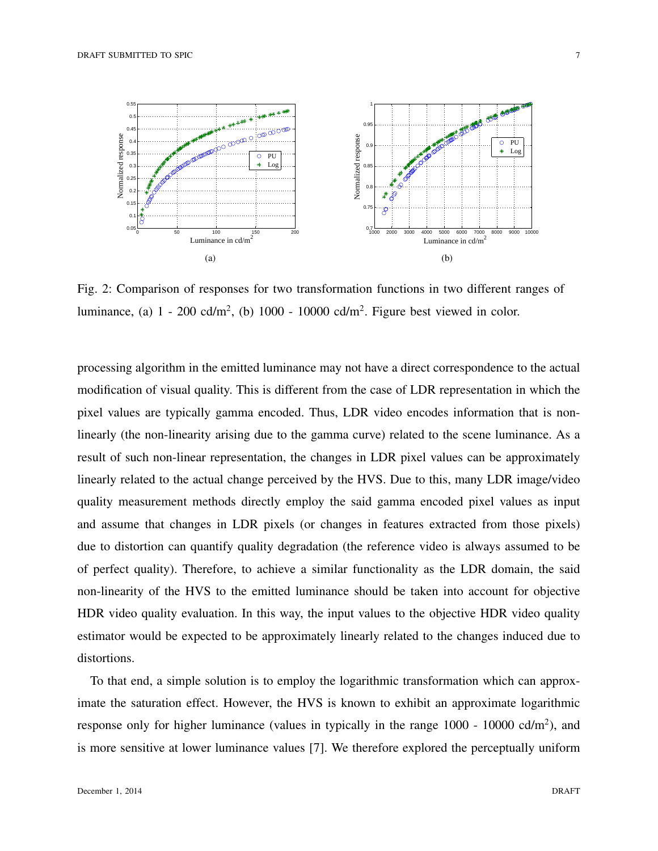

Fig. 2: Comparison of responses for two transformation functions in two different ranges of luminance, (a)  $1 - 200$  cd/m<sup>2</sup>, (b) 1000 - 10000 cd/m<sup>2</sup>. Figure best viewed in color.

processing algorithm in the emitted luminance may not have a direct correspondence to the actual modification of visual quality. This is different from the case of LDR representation in which the pixel values are typically gamma encoded. Thus, LDR video encodes information that is nonlinearly (the non-linearity arising due to the gamma curve) related to the scene luminance. As a result of such non-linear representation, the changes in LDR pixel values can be approximately linearly related to the actual change perceived by the HVS. Due to this, many LDR image/video quality measurement methods directly employ the said gamma encoded pixel values as input and assume that changes in LDR pixels (or changes in features extracted from those pixels) due to distortion can quantify quality degradation (the reference video is always assumed to be of perfect quality). Therefore, to achieve a similar functionality as the LDR domain, the said non-linearity of the HVS to the emitted luminance should be taken into account for objective HDR video quality evaluation. In this way, the input values to the objective HDR video quality estimator would be expected to be approximately linearly related to the changes induced due to distortions.

To that end, a simple solution is to employ the logarithmic transformation which can approximate the saturation effect. However, the HVS is known to exhibit an approximate logarithmic response only for higher luminance (values in typically in the range  $1000 - 10000 \text{ cd/m}^2$ ), and is more sensitive at lower luminance values [7]. We therefore explored the perceptually uniform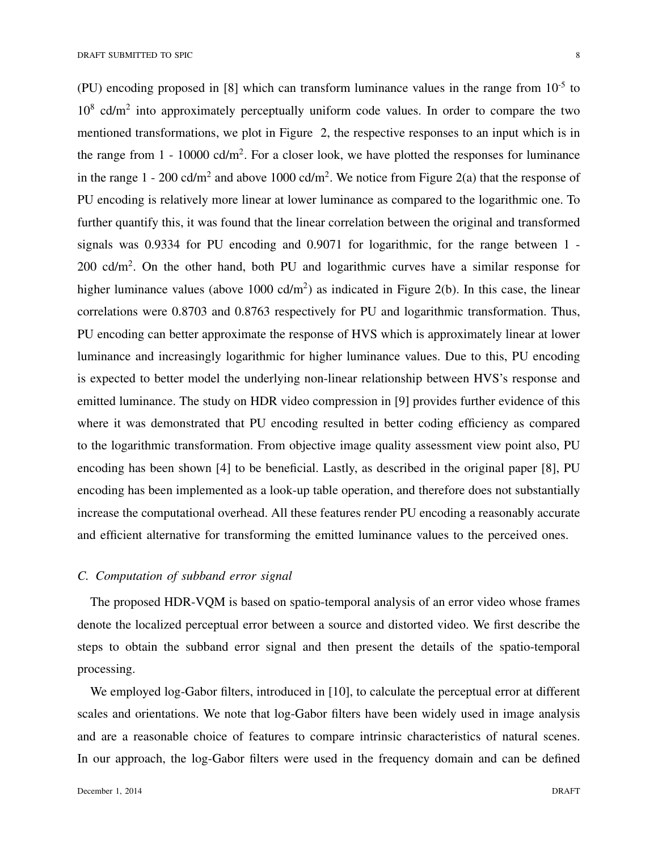(PU) encoding proposed in [8] which can transform luminance values in the range from  $10^{-5}$  to 10<sup>8</sup> cd/m<sup>2</sup> into approximately perceptually uniform code values. In order to compare the two mentioned transformations, we plot in Figure 2, the respective responses to an input which is in the range from  $1 - 10000$  cd/m<sup>2</sup>. For a closer look, we have plotted the responses for luminance in the range 1 - 200 cd/m<sup>2</sup> and above 1000 cd/m<sup>2</sup>. We notice from Figure 2(a) that the response of PU encoding is relatively more linear at lower luminance as compared to the logarithmic one. To further quantify this, it was found that the linear correlation between the original and transformed signals was 0.9334 for PU encoding and 0.9071 for logarithmic, for the range between 1 - 200 cd/m<sup>2</sup>. On the other hand, both PU and logarithmic curves have a similar response for higher luminance values (above  $1000 \text{ cd/m}^2$ ) as indicated in Figure 2(b). In this case, the linear correlations were 0.8703 and 0.8763 respectively for PU and logarithmic transformation. Thus, PU encoding can better approximate the response of HVS which is approximately linear at lower luminance and increasingly logarithmic for higher luminance values. Due to this, PU encoding is expected to better model the underlying non-linear relationship between HVS's response and emitted luminance. The study on HDR video compression in [9] provides further evidence of this where it was demonstrated that PU encoding resulted in better coding efficiency as compared to the logarithmic transformation. From objective image quality assessment view point also, PU encoding has been shown [4] to be beneficial. Lastly, as described in the original paper [8], PU encoding has been implemented as a look-up table operation, and therefore does not substantially increase the computational overhead. All these features render PU encoding a reasonably accurate and efficient alternative for transforming the emitted luminance values to the perceived ones.

# *C. Computation of subband error signal*

The proposed HDR-VQM is based on spatio-temporal analysis of an error video whose frames denote the localized perceptual error between a source and distorted video. We first describe the steps to obtain the subband error signal and then present the details of the spatio-temporal processing.

We employed log-Gabor filters, introduced in [10], to calculate the perceptual error at different scales and orientations. We note that log-Gabor filters have been widely used in image analysis and are a reasonable choice of features to compare intrinsic characteristics of natural scenes. In our approach, the log-Gabor filters were used in the frequency domain and can be defined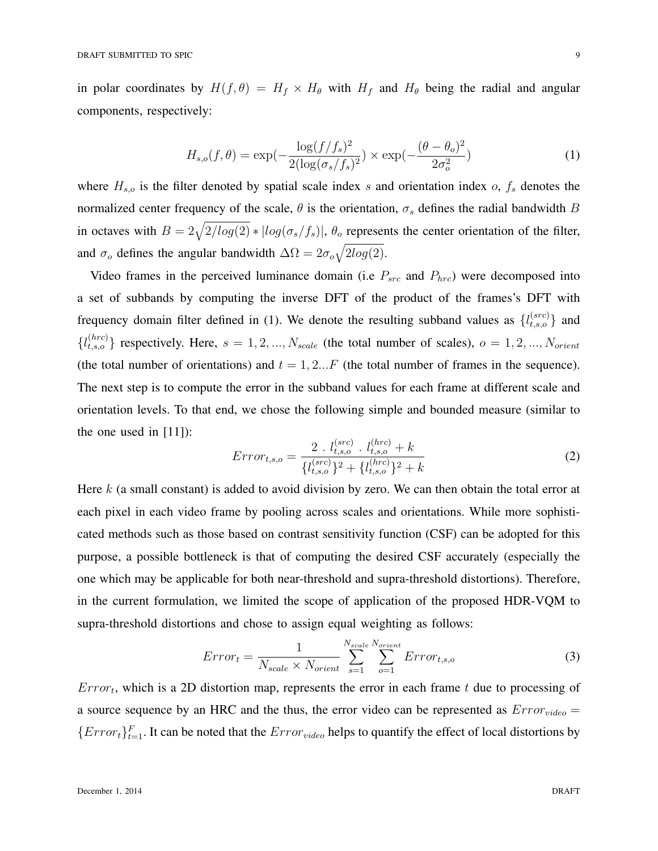in polar coordinates by  $H(f, \theta) = H_f \times H_\theta$  with  $H_f$  and  $H_\theta$  being the radial and angular components, respectively:

$$
H_{s,o}(f,\theta) = \exp(-\frac{\log(f/f_s)^2}{2(\log(\sigma_s/f_s)^2}) \times \exp(-\frac{(\theta - \theta_o)^2}{2\sigma_o^2})
$$
 (1)

where  $H_{s,o}$  is the filter denoted by spatial scale index s and orientation index o,  $f_s$  denotes the normalized center frequency of the scale,  $\theta$  is the orientation,  $\sigma_s$  defines the radial bandwidth B in octaves with  $B = 2\sqrt{2/log(2)} * |log(\sigma_s/f_s)|$ ,  $\theta_o$  represents the center orientation of the filter, and  $\sigma_o$  defines the angular bandwidth  $\Delta \Omega = 2\sigma_o \sqrt{2log(2)}$ .

Video frames in the perceived luminance domain (i.e  $P_{src}$  and  $P_{hrc}$ ) were decomposed into a set of subbands by computing the inverse DFT of the product of the frames's DFT with frequency domain filter defined in (1). We denote the resulting subband values as  $\{l_{t,s,o}^{(src)}\}$  and  $\{l_{t,s,o}^{(hrc)}\}$  respectively. Here,  $s = 1, 2, ..., N_{scale}$  (the total number of scales),  $o = 1, 2, ..., N_{orient}$ (the total number of orientations) and  $t = 1, 2...F$  (the total number of frames in the sequence). The next step is to compute the error in the subband values for each frame at different scale and orientation levels. To that end, we chose the following simple and bounded measure (similar to the one used in  $[11]$ :

$$
Error_{t,s,o} = \frac{2 \cdot l_{t,s,o}^{(src)} \cdot l_{t,s,o}^{(hrc)} + k}{\{l_{t,s,o}^{(src)}\}^2 + \{l_{t,s,o}^{(hrc)}\}^2 + k}
$$
(2)

Here  $k$  (a small constant) is added to avoid division by zero. We can then obtain the total error at each pixel in each video frame by pooling across scales and orientations. While more sophisticated methods such as those based on contrast sensitivity function (CSF) can be adopted for this purpose, a possible bottleneck is that of computing the desired CSF accurately (especially the one which may be applicable for both near-threshold and supra-threshold distortions). Therefore, in the current formulation, we limited the scope of application of the proposed HDR-VQM to supra-threshold distortions and chose to assign equal weighting as follows:

$$
Error_t = \frac{1}{N_{scale} \times N_{orient}} \sum_{s=1}^{N_{scale}} \sum_{o=1}^{N_{orient}} Error_{t,s,o}
$$
(3)

 $Error<sub>t</sub>$ , which is a 2D distortion map, represents the error in each frame t due to processing of a source sequence by an HRC and the thus, the error video can be represented as  $Error_{video} =$  ${Error<sub>t</sub>}<sub>t=1</sub><sup>F</sup>$ . It can be noted that the  $Error<sub>video</sub>$  helps to quantify the effect of local distortions by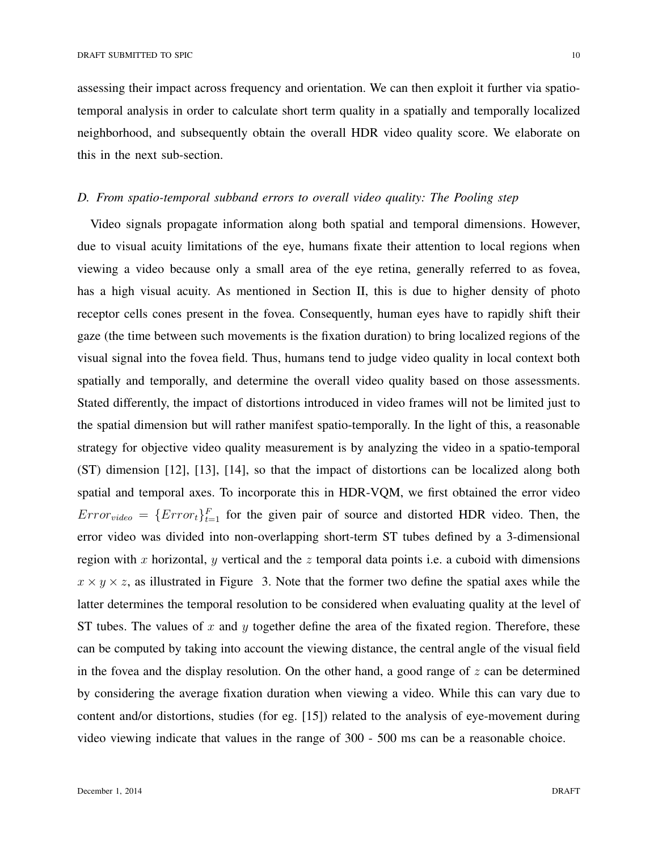assessing their impact across frequency and orientation. We can then exploit it further via spatiotemporal analysis in order to calculate short term quality in a spatially and temporally localized neighborhood, and subsequently obtain the overall HDR video quality score. We elaborate on this in the next sub-section.

#### *D. From spatio-temporal subband errors to overall video quality: The Pooling step*

Video signals propagate information along both spatial and temporal dimensions. However, due to visual acuity limitations of the eye, humans fixate their attention to local regions when viewing a video because only a small area of the eye retina, generally referred to as fovea, has a high visual acuity. As mentioned in Section II, this is due to higher density of photo receptor cells cones present in the fovea. Consequently, human eyes have to rapidly shift their gaze (the time between such movements is the fixation duration) to bring localized regions of the visual signal into the fovea field. Thus, humans tend to judge video quality in local context both spatially and temporally, and determine the overall video quality based on those assessments. Stated differently, the impact of distortions introduced in video frames will not be limited just to the spatial dimension but will rather manifest spatio-temporally. In the light of this, a reasonable strategy for objective video quality measurement is by analyzing the video in a spatio-temporal (ST) dimension [12], [13], [14], so that the impact of distortions can be localized along both spatial and temporal axes. To incorporate this in HDR-VQM, we first obtained the error video  $Error_{video} = \{Error_t\}_{t=1}^F$  for the given pair of source and distorted HDR video. Then, the error video was divided into non-overlapping short-term ST tubes defined by a 3-dimensional region with x horizontal, y vertical and the z temporal data points i.e. a cuboid with dimensions  $x \times y \times z$ , as illustrated in Figure 3. Note that the former two define the spatial axes while the latter determines the temporal resolution to be considered when evaluating quality at the level of ST tubes. The values of x and y together define the area of the fixated region. Therefore, these can be computed by taking into account the viewing distance, the central angle of the visual field in the fovea and the display resolution. On the other hand, a good range of  $z$  can be determined by considering the average fixation duration when viewing a video. While this can vary due to content and/or distortions, studies (for eg. [15]) related to the analysis of eye-movement during video viewing indicate that values in the range of 300 - 500 ms can be a reasonable choice.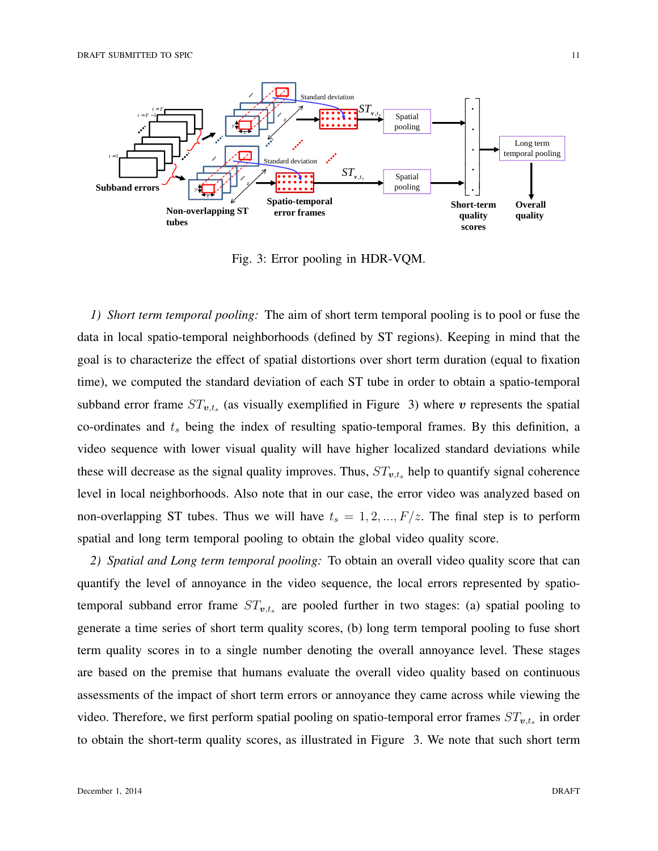

Fig. 3: Error pooling in HDR-VQM.

*1) Short term temporal pooling:* The aim of short term temporal pooling is to pool or fuse the data in local spatio-temporal neighborhoods (defined by ST regions). Keeping in mind that the goal is to characterize the effect of spatial distortions over short term duration (equal to fixation time), we computed the standard deviation of each ST tube in order to obtain a spatio-temporal subband error frame  $ST_{v,t_s}$  (as visually exemplified in Figure 3) where v represents the spatial co-ordinates and  $t_s$  being the index of resulting spatio-temporal frames. By this definition, a video sequence with lower visual quality will have higher localized standard deviations while these will decrease as the signal quality improves. Thus,  $ST_{v,t_s}$  help to quantify signal coherence level in local neighborhoods. Also note that in our case, the error video was analyzed based on non-overlapping ST tubes. Thus we will have  $t_s = 1, 2, ..., F/z$ . The final step is to perform spatial and long term temporal pooling to obtain the global video quality score.

*2) Spatial and Long term temporal pooling:* To obtain an overall video quality score that can quantify the level of annoyance in the video sequence, the local errors represented by spatiotemporal subband error frame  $ST_{v,t_s}$  are pooled further in two stages: (a) spatial pooling to generate a time series of short term quality scores, (b) long term temporal pooling to fuse short term quality scores in to a single number denoting the overall annoyance level. These stages are based on the premise that humans evaluate the overall video quality based on continuous assessments of the impact of short term errors or annoyance they came across while viewing the video. Therefore, we first perform spatial pooling on spatio-temporal error frames  $ST_{v,t_s}$  in order to obtain the short-term quality scores, as illustrated in Figure 3. We note that such short term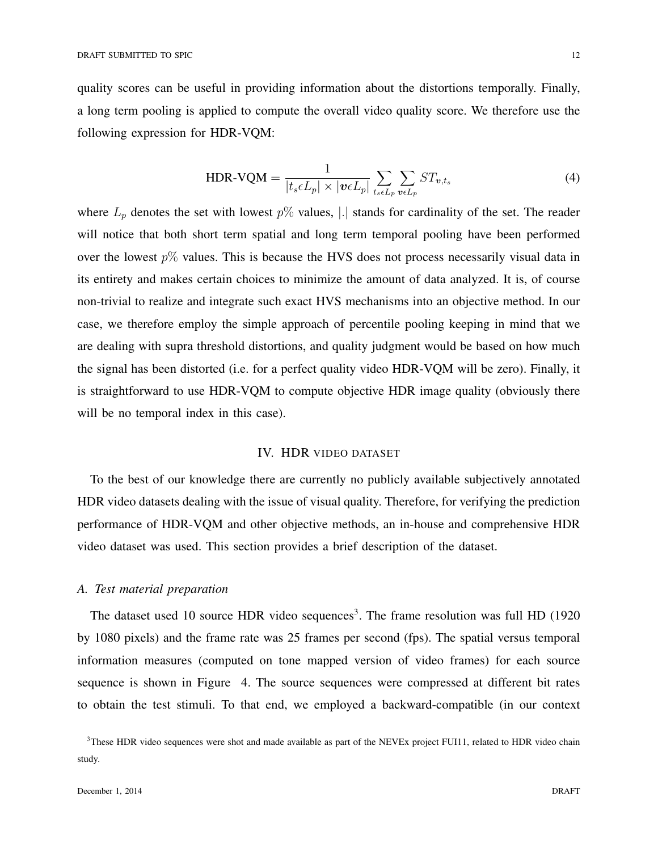quality scores can be useful in providing information about the distortions temporally. Finally, a long term pooling is applied to compute the overall video quality score. We therefore use the following expression for HDR-VQM:

$$
\text{HDR-VQM} = \frac{1}{|t_s \epsilon L_p| \times |\boldsymbol{v} \epsilon L_p|} \sum_{t_s \epsilon L_p} \sum_{\boldsymbol{v} \epsilon L_p} ST_{\boldsymbol{v},t_s} \tag{4}
$$

where  $L_p$  denotes the set with lowest  $p\%$  values, |.| stands for cardinality of the set. The reader will notice that both short term spatial and long term temporal pooling have been performed over the lowest  $p\%$  values. This is because the HVS does not process necessarily visual data in its entirety and makes certain choices to minimize the amount of data analyzed. It is, of course non-trivial to realize and integrate such exact HVS mechanisms into an objective method. In our case, we therefore employ the simple approach of percentile pooling keeping in mind that we are dealing with supra threshold distortions, and quality judgment would be based on how much the signal has been distorted (i.e. for a perfect quality video HDR-VQM will be zero). Finally, it is straightforward to use HDR-VQM to compute objective HDR image quality (obviously there will be no temporal index in this case).

#### IV. HDR VIDEO DATASET

To the best of our knowledge there are currently no publicly available subjectively annotated HDR video datasets dealing with the issue of visual quality. Therefore, for verifying the prediction performance of HDR-VQM and other objective methods, an in-house and comprehensive HDR video dataset was used. This section provides a brief description of the dataset.

#### *A. Test material preparation*

The dataset used 10 source HDR video sequences<sup>3</sup>. The frame resolution was full HD (1920 by 1080 pixels) and the frame rate was 25 frames per second (fps). The spatial versus temporal information measures (computed on tone mapped version of video frames) for each source sequence is shown in Figure 4. The source sequences were compressed at different bit rates to obtain the test stimuli. To that end, we employed a backward-compatible (in our context

<sup>&</sup>lt;sup>3</sup>These HDR video sequences were shot and made available as part of the NEVEx project FUI11, related to HDR video chain study.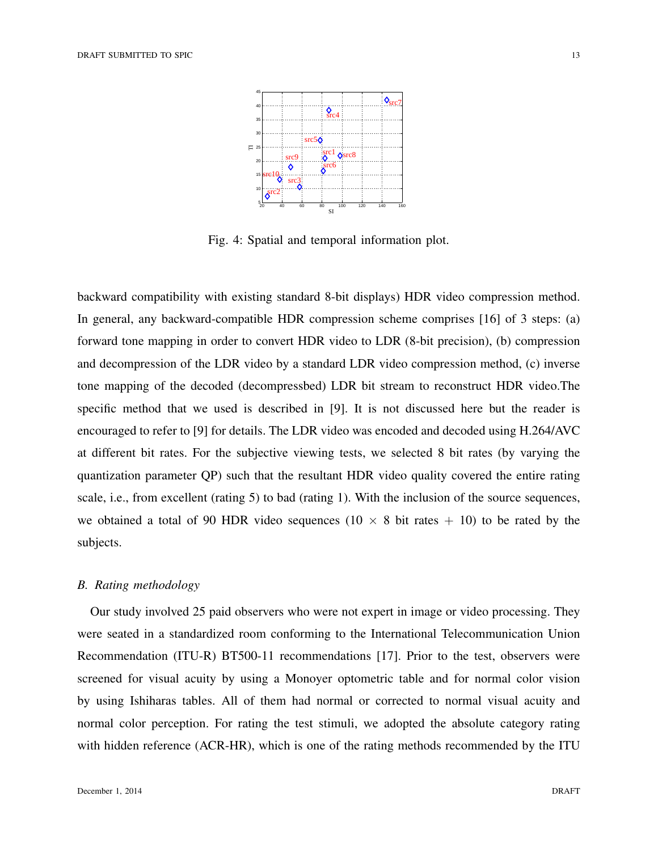

Fig. 4: Spatial and temporal information plot.

backward compatibility with existing standard 8-bit displays) HDR video compression method. In general, any backward-compatible HDR compression scheme comprises [16] of 3 steps: (a) forward tone mapping in order to convert HDR video to LDR (8-bit precision), (b) compression and decompression of the LDR video by a standard LDR video compression method, (c) inverse tone mapping of the decoded (decompressbed) LDR bit stream to reconstruct HDR video.The specific method that we used is described in [9]. It is not discussed here but the reader is encouraged to refer to [9] for details. The LDR video was encoded and decoded using H.264/AVC at different bit rates. For the subjective viewing tests, we selected 8 bit rates (by varying the quantization parameter QP) such that the resultant HDR video quality covered the entire rating scale, i.e., from excellent (rating 5) to bad (rating 1). With the inclusion of the source sequences, we obtained a total of 90 HDR video sequences (10  $\times$  8 bit rates + 10) to be rated by the subjects.

# *B. Rating methodology*

Our study involved 25 paid observers who were not expert in image or video processing. They were seated in a standardized room conforming to the International Telecommunication Union Recommendation (ITU-R) BT500-11 recommendations [17]. Prior to the test, observers were screened for visual acuity by using a Monoyer optometric table and for normal color vision by using Ishiharas tables. All of them had normal or corrected to normal visual acuity and normal color perception. For rating the test stimuli, we adopted the absolute category rating with hidden reference (ACR-HR), which is one of the rating methods recommended by the ITU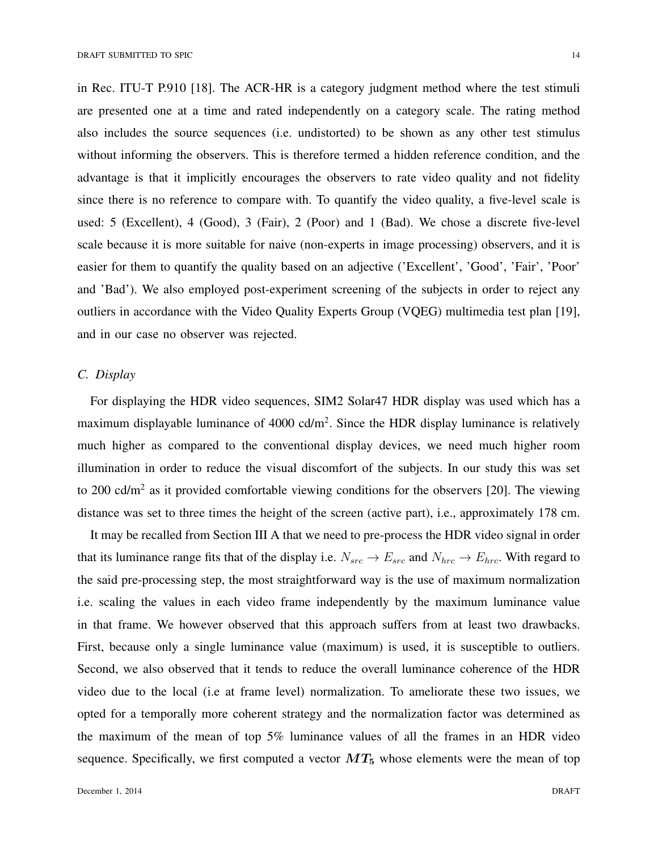in Rec. ITU-T P.910 [18]. The ACR-HR is a category judgment method where the test stimuli are presented one at a time and rated independently on a category scale. The rating method also includes the source sequences (i.e. undistorted) to be shown as any other test stimulus without informing the observers. This is therefore termed a hidden reference condition, and the advantage is that it implicitly encourages the observers to rate video quality and not fidelity since there is no reference to compare with. To quantify the video quality, a five-level scale is used: 5 (Excellent), 4 (Good), 3 (Fair), 2 (Poor) and 1 (Bad). We chose a discrete five-level scale because it is more suitable for naive (non-experts in image processing) observers, and it is easier for them to quantify the quality based on an adjective ('Excellent', 'Good', 'Fair', 'Poor' and 'Bad'). We also employed post-experiment screening of the subjects in order to reject any outliers in accordance with the Video Quality Experts Group (VQEG) multimedia test plan [19], and in our case no observer was rejected.

# *C. Display*

For displaying the HDR video sequences, SIM2 Solar47 HDR display was used which has a maximum displayable luminance of  $4000 \text{ cd/m}^2$ . Since the HDR display luminance is relatively much higher as compared to the conventional display devices, we need much higher room illumination in order to reduce the visual discomfort of the subjects. In our study this was set to 200 cd/ $m<sup>2</sup>$  as it provided comfortable viewing conditions for the observers [20]. The viewing distance was set to three times the height of the screen (active part), i.e., approximately 178 cm.

It may be recalled from Section III A that we need to pre-process the HDR video signal in order that its luminance range fits that of the display i.e.  $N_{src} \rightarrow E_{src}$  and  $N_{hrc} \rightarrow E_{hrc}$ . With regard to the said pre-processing step, the most straightforward way is the use of maximum normalization i.e. scaling the values in each video frame independently by the maximum luminance value in that frame. We however observed that this approach suffers from at least two drawbacks. First, because only a single luminance value (maximum) is used, it is susceptible to outliers. Second, we also observed that it tends to reduce the overall luminance coherence of the HDR video due to the local (i.e at frame level) normalization. To ameliorate these two issues, we opted for a temporally more coherent strategy and the normalization factor was determined as the maximum of the mean of top 5% luminance values of all the frames in an HDR video sequence. Specifically, we first computed a vector  $MT_5$  whose elements were the mean of top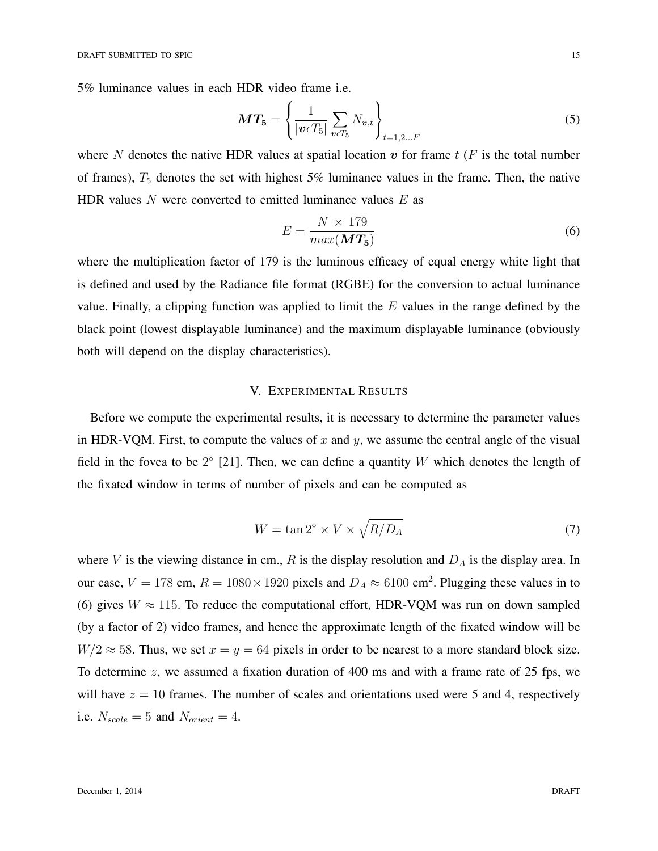5% luminance values in each HDR video frame i.e.

$$
\boldsymbol{MT_5} = \left\{ \frac{1}{|\boldsymbol{v}\epsilon T_5|} \sum_{\boldsymbol{v}\epsilon T_5} N_{\boldsymbol{v},t} \right\}_{t=1,2...F}
$$
(5)

where N denotes the native HDR values at spatial location  $v$  for frame  $t$  (F is the total number of frames),  $T_5$  denotes the set with highest 5% luminance values in the frame. Then, the native HDR values  $N$  were converted to emitted luminance values  $E$  as

$$
E = \frac{N \times 179}{max(\mathbf{MT_5})}
$$
 (6)

where the multiplication factor of 179 is the luminous efficacy of equal energy white light that is defined and used by the Radiance file format (RGBE) for the conversion to actual luminance value. Finally, a clipping function was applied to limit the  $E$  values in the range defined by the black point (lowest displayable luminance) and the maximum displayable luminance (obviously both will depend on the display characteristics).

# V. EXPERIMENTAL RESULTS

Before we compute the experimental results, it is necessary to determine the parameter values in HDR-VQM. First, to compute the values of x and  $y$ , we assume the central angle of the visual field in the fovea to be  $2^{\circ}$  [21]. Then, we can define a quantity W which denotes the length of the fixated window in terms of number of pixels and can be computed as

$$
W = \tan 2^{\circ} \times V \times \sqrt{R/D_A}
$$
 (7)

where V is the viewing distance in cm., R is the display resolution and  $D_A$  is the display area. In our case,  $V = 178$  cm,  $R = 1080 \times 1920$  pixels and  $D_A \approx 6100$  cm<sup>2</sup>. Plugging these values in to (6) gives  $W \approx 115$ . To reduce the computational effort, HDR-VQM was run on down sampled (by a factor of 2) video frames, and hence the approximate length of the fixated window will be  $W/2 \approx 58$ . Thus, we set  $x = y = 64$  pixels in order to be nearest to a more standard block size. To determine  $z$ , we assumed a fixation duration of 400 ms and with a frame rate of 25 fps, we will have  $z = 10$  frames. The number of scales and orientations used were 5 and 4, respectively i.e.  $N_{scale} = 5$  and  $N_{orient} = 4$ .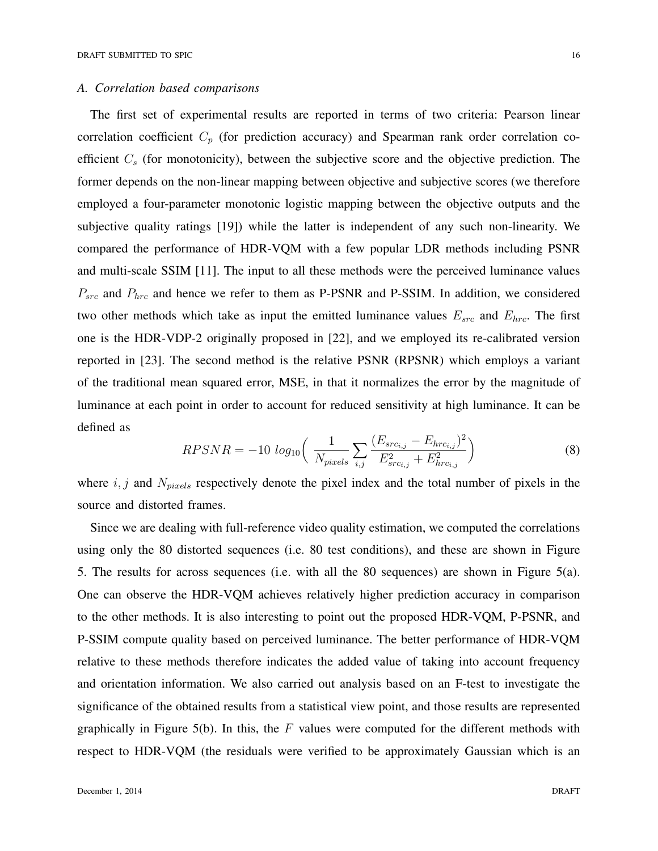#### *A. Correlation based comparisons*

The first set of experimental results are reported in terms of two criteria: Pearson linear correlation coefficient  $C_p$  (for prediction accuracy) and Spearman rank order correlation coefficient  $C_s$  (for monotonicity), between the subjective score and the objective prediction. The former depends on the non-linear mapping between objective and subjective scores (we therefore employed a four-parameter monotonic logistic mapping between the objective outputs and the subjective quality ratings [19]) while the latter is independent of any such non-linearity. We compared the performance of HDR-VQM with a few popular LDR methods including PSNR and multi-scale SSIM [11]. The input to all these methods were the perceived luminance values  $P_{src}$  and  $P_{hrc}$  and hence we refer to them as P-PSNR and P-SSIM. In addition, we considered two other methods which take as input the emitted luminance values  $E_{src}$  and  $E_{hrc}$ . The first one is the HDR-VDP-2 originally proposed in [22], and we employed its re-calibrated version reported in [23]. The second method is the relative PSNR (RPSNR) which employs a variant of the traditional mean squared error, MSE, in that it normalizes the error by the magnitude of luminance at each point in order to account for reduced sensitivity at high luminance. It can be defined as

$$
RPSNR = -10 \log_{10} \left( \frac{1}{N_{pixels}} \sum_{i,j} \frac{(E_{src_{i,j}} - E_{hrc_{i,j}})^2}{E_{src_{i,j}}^2 + E_{hrc_{i,j}}^2} \right)
$$
(8)

where  $i, j$  and  $N_{pixels}$  respectively denote the pixel index and the total number of pixels in the source and distorted frames.

Since we are dealing with full-reference video quality estimation, we computed the correlations using only the 80 distorted sequences (i.e. 80 test conditions), and these are shown in Figure 5. The results for across sequences (i.e. with all the 80 sequences) are shown in Figure 5(a). One can observe the HDR-VQM achieves relatively higher prediction accuracy in comparison to the other methods. It is also interesting to point out the proposed HDR-VQM, P-PSNR, and P-SSIM compute quality based on perceived luminance. The better performance of HDR-VQM relative to these methods therefore indicates the added value of taking into account frequency and orientation information. We also carried out analysis based on an F-test to investigate the significance of the obtained results from a statistical view point, and those results are represented graphically in Figure 5(b). In this, the  $F$  values were computed for the different methods with respect to HDR-VQM (the residuals were verified to be approximately Gaussian which is an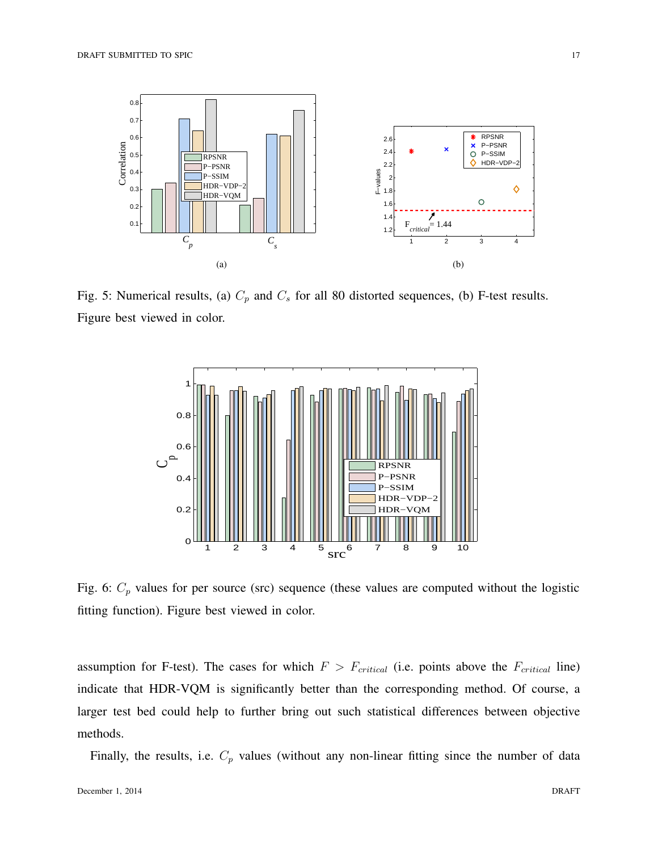

Fig. 5: Numerical results, (a)  $C_p$  and  $C_s$  for all 80 distorted sequences, (b) F-test results. Figure best viewed in color.



Fig. 6:  $C_p$  values for per source (src) sequence (these values are computed without the logistic fitting function). Figure best viewed in color.

assumption for F-test). The cases for which  $F > F_{critical}$  (i.e. points above the  $F_{critical}$  line) indicate that HDR-VQM is significantly better than the corresponding method. Of course, a larger test bed could help to further bring out such statistical differences between objective methods.

Finally, the results, i.e.  $C_p$  values (without any non-linear fitting since the number of data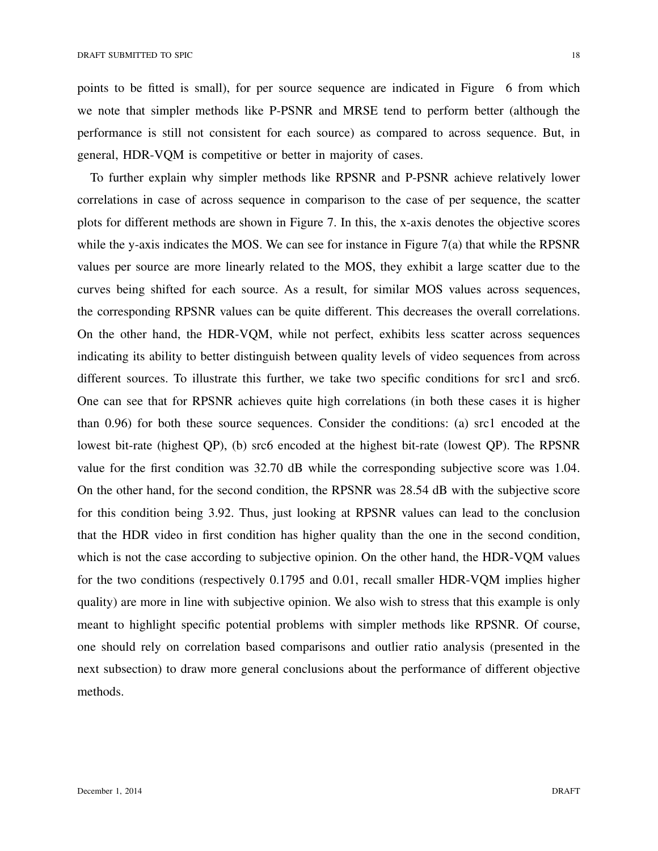points to be fitted is small), for per source sequence are indicated in Figure 6 from which we note that simpler methods like P-PSNR and MRSE tend to perform better (although the performance is still not consistent for each source) as compared to across sequence. But, in general, HDR-VQM is competitive or better in majority of cases.

To further explain why simpler methods like RPSNR and P-PSNR achieve relatively lower correlations in case of across sequence in comparison to the case of per sequence, the scatter plots for different methods are shown in Figure 7. In this, the x-axis denotes the objective scores while the y-axis indicates the MOS. We can see for instance in Figure  $7(a)$  that while the RPSNR values per source are more linearly related to the MOS, they exhibit a large scatter due to the curves being shifted for each source. As a result, for similar MOS values across sequences, the corresponding RPSNR values can be quite different. This decreases the overall correlations. On the other hand, the HDR-VQM, while not perfect, exhibits less scatter across sequences indicating its ability to better distinguish between quality levels of video sequences from across different sources. To illustrate this further, we take two specific conditions for src1 and src6. One can see that for RPSNR achieves quite high correlations (in both these cases it is higher than 0.96) for both these source sequences. Consider the conditions: (a) src1 encoded at the lowest bit-rate (highest QP), (b) src6 encoded at the highest bit-rate (lowest QP). The RPSNR value for the first condition was 32.70 dB while the corresponding subjective score was 1.04. On the other hand, for the second condition, the RPSNR was 28.54 dB with the subjective score for this condition being 3.92. Thus, just looking at RPSNR values can lead to the conclusion that the HDR video in first condition has higher quality than the one in the second condition, which is not the case according to subjective opinion. On the other hand, the HDR-VOM values for the two conditions (respectively 0.1795 and 0.01, recall smaller HDR-VQM implies higher quality) are more in line with subjective opinion. We also wish to stress that this example is only meant to highlight specific potential problems with simpler methods like RPSNR. Of course, one should rely on correlation based comparisons and outlier ratio analysis (presented in the next subsection) to draw more general conclusions about the performance of different objective methods.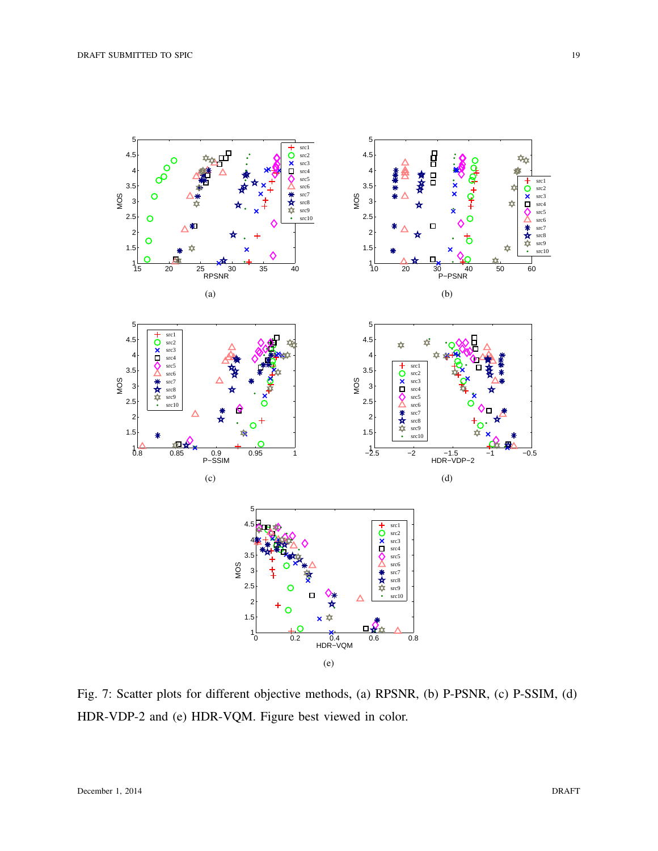

Fig. 7: Scatter plots for different objective methods, (a) RPSNR, (b) P-PSNR, (c) P-SSIM, (d) HDR-VDP-2 and (e) HDR-VQM. Figure best viewed in color.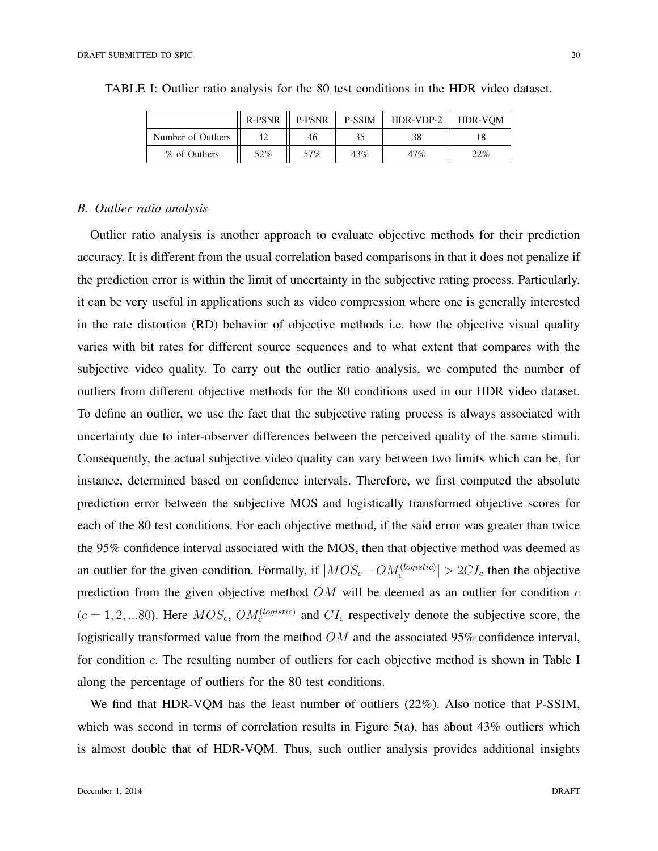|                    | R-PSNR | <b>P-PSNR</b> | <b>P-SSIM</b> | HDR-VDP-2    HDR-VOM |     |
|--------------------|--------|---------------|---------------|----------------------|-----|
| Number of Outliers | 42     | 46            | 35            |                      |     |
| % of Outliers      | 52%    | 57%           | 43%           | 47%                  | 22% |

TABLE I: Outlier ratio analysis for the 80 test conditions in the HDR video dataset.

#### *B. Outlier ratio analysis*

Outlier ratio analysis is another approach to evaluate objective methods for their prediction accuracy. It is different from the usual correlation based comparisons in that it does not penalize if the prediction error is within the limit of uncertainty in the subjective rating process. Particularly, it can be very useful in applications such as video compression where one is generally interested in the rate distortion (RD) behavior of objective methods i.e. how the objective visual quality varies with bit rates for different source sequences and to what extent that compares with the subjective video quality. To carry out the outlier ratio analysis, we computed the number of outliers from different objective methods for the 80 conditions used in our HDR video dataset. To define an outlier, we use the fact that the subjective rating process is always associated with uncertainty due to inter-observer differences between the perceived quality of the same stimuli. Consequently, the actual subjective video quality can vary between two limits which can be, for instance, determined based on confidence intervals. Therefore, we first computed the absolute prediction error between the subjective MOS and logistically transformed objective scores for each of the 80 test conditions. For each objective method, if the said error was greater than twice the 95% confidence interval associated with the MOS, then that objective method was deemed as an outlier for the given condition. Formally, if  $|MOS_c - OM_c^{(logistic)}| > 2CI_c$  then the objective prediction from the given objective method  $OM$  will be deemed as an outlier for condition  $c$  $(c = 1, 2, ... 80)$ . Here  $MOS_c$ ,  $OM_c^{(logistic)}$  and  $CI_c$  respectively denote the subjective score, the logistically transformed value from the method OM and the associated 95% confidence interval, for condition  $c$ . The resulting number of outliers for each objective method is shown in Table I along the percentage of outliers for the 80 test conditions.

We find that HDR-VQM has the least number of outliers (22%). Also notice that P-SSIM, which was second in terms of correlation results in Figure 5(a), has about 43% outliers which is almost double that of HDR-VQM. Thus, such outlier analysis provides additional insights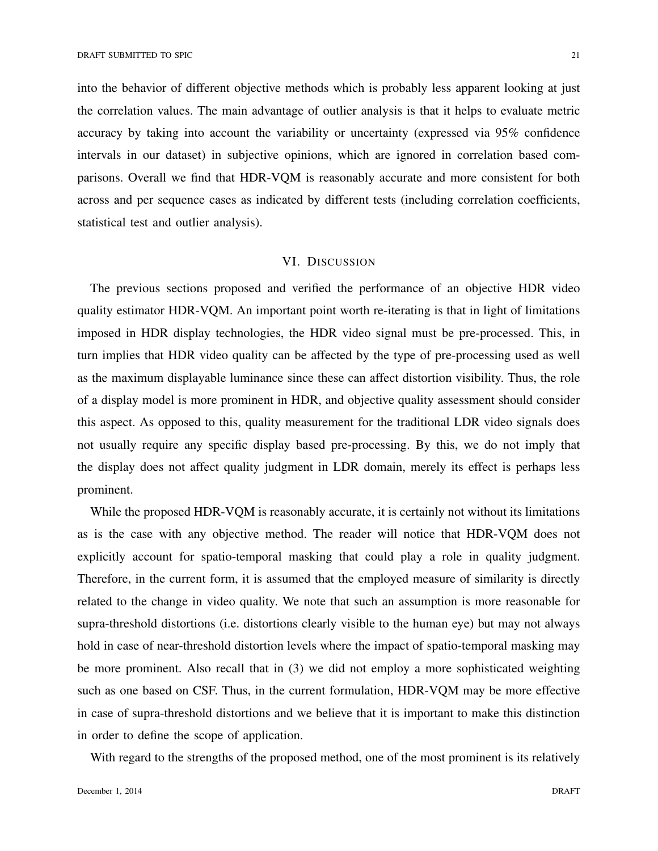into the behavior of different objective methods which is probably less apparent looking at just the correlation values. The main advantage of outlier analysis is that it helps to evaluate metric accuracy by taking into account the variability or uncertainty (expressed via 95% confidence intervals in our dataset) in subjective opinions, which are ignored in correlation based com-

parisons. Overall we find that HDR-VQM is reasonably accurate and more consistent for both across and per sequence cases as indicated by different tests (including correlation coefficients, statistical test and outlier analysis).

# VI. DISCUSSION

The previous sections proposed and verified the performance of an objective HDR video quality estimator HDR-VQM. An important point worth re-iterating is that in light of limitations imposed in HDR display technologies, the HDR video signal must be pre-processed. This, in turn implies that HDR video quality can be affected by the type of pre-processing used as well as the maximum displayable luminance since these can affect distortion visibility. Thus, the role of a display model is more prominent in HDR, and objective quality assessment should consider this aspect. As opposed to this, quality measurement for the traditional LDR video signals does not usually require any specific display based pre-processing. By this, we do not imply that the display does not affect quality judgment in LDR domain, merely its effect is perhaps less prominent.

While the proposed HDR-VQM is reasonably accurate, it is certainly not without its limitations as is the case with any objective method. The reader will notice that HDR-VQM does not explicitly account for spatio-temporal masking that could play a role in quality judgment. Therefore, in the current form, it is assumed that the employed measure of similarity is directly related to the change in video quality. We note that such an assumption is more reasonable for supra-threshold distortions (i.e. distortions clearly visible to the human eye) but may not always hold in case of near-threshold distortion levels where the impact of spatio-temporal masking may be more prominent. Also recall that in (3) we did not employ a more sophisticated weighting such as one based on CSF. Thus, in the current formulation, HDR-VQM may be more effective in case of supra-threshold distortions and we believe that it is important to make this distinction in order to define the scope of application.

With regard to the strengths of the proposed method, one of the most prominent is its relatively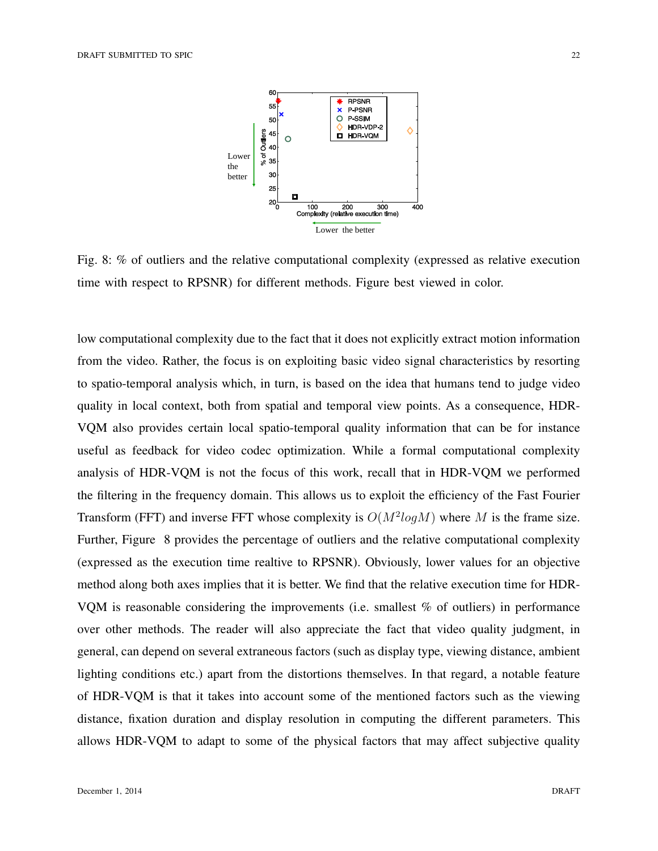

Fig. 8: % of outliers and the relative computational complexity (expressed as relative execution time with respect to RPSNR) for different methods. Figure best viewed in color.

low computational complexity due to the fact that it does not explicitly extract motion information from the video. Rather, the focus is on exploiting basic video signal characteristics by resorting to spatio-temporal analysis which, in turn, is based on the idea that humans tend to judge video quality in local context, both from spatial and temporal view points. As a consequence, HDR-VQM also provides certain local spatio-temporal quality information that can be for instance useful as feedback for video codec optimization. While a formal computational complexity analysis of HDR-VQM is not the focus of this work, recall that in HDR-VQM we performed the filtering in the frequency domain. This allows us to exploit the efficiency of the Fast Fourier Transform (FFT) and inverse FFT whose complexity is  $O(M^2 log M)$  where M is the frame size. Further, Figure 8 provides the percentage of outliers and the relative computational complexity (expressed as the execution time realtive to RPSNR). Obviously, lower values for an objective method along both axes implies that it is better. We find that the relative execution time for HDR-VQM is reasonable considering the improvements (i.e. smallest % of outliers) in performance over other methods. The reader will also appreciate the fact that video quality judgment, in general, can depend on several extraneous factors (such as display type, viewing distance, ambient lighting conditions etc.) apart from the distortions themselves. In that regard, a notable feature of HDR-VQM is that it takes into account some of the mentioned factors such as the viewing distance, fixation duration and display resolution in computing the different parameters. This allows HDR-VQM to adapt to some of the physical factors that may affect subjective quality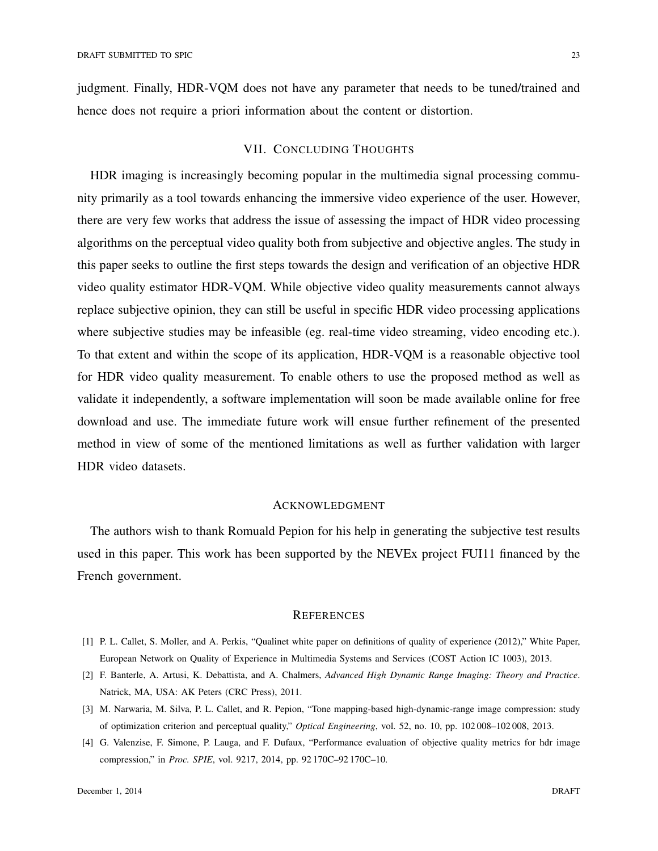judgment. Finally, HDR-VQM does not have any parameter that needs to be tuned/trained and hence does not require a priori information about the content or distortion.

# VII. CONCLUDING THOUGHTS

HDR imaging is increasingly becoming popular in the multimedia signal processing community primarily as a tool towards enhancing the immersive video experience of the user. However, there are very few works that address the issue of assessing the impact of HDR video processing algorithms on the perceptual video quality both from subjective and objective angles. The study in this paper seeks to outline the first steps towards the design and verification of an objective HDR video quality estimator HDR-VQM. While objective video quality measurements cannot always replace subjective opinion, they can still be useful in specific HDR video processing applications where subjective studies may be infeasible (eg. real-time video streaming, video encoding etc.). To that extent and within the scope of its application, HDR-VQM is a reasonable objective tool for HDR video quality measurement. To enable others to use the proposed method as well as validate it independently, a software implementation will soon be made available online for free download and use. The immediate future work will ensue further refinement of the presented method in view of some of the mentioned limitations as well as further validation with larger HDR video datasets.

#### ACKNOWLEDGMENT

The authors wish to thank Romuald Pepion for his help in generating the subjective test results used in this paper. This work has been supported by the NEVEx project FUI11 financed by the French government.

#### **REFERENCES**

- [1] P. L. Callet, S. Moller, and A. Perkis, "Qualinet white paper on definitions of quality of experience (2012)," White Paper, European Network on Quality of Experience in Multimedia Systems and Services (COST Action IC 1003), 2013.
- [2] F. Banterle, A. Artusi, K. Debattista, and A. Chalmers, *Advanced High Dynamic Range Imaging: Theory and Practice*. Natrick, MA, USA: AK Peters (CRC Press), 2011.
- [3] M. Narwaria, M. Silva, P. L. Callet, and R. Pepion, "Tone mapping-based high-dynamic-range image compression: study of optimization criterion and perceptual quality," *Optical Engineering*, vol. 52, no. 10, pp. 102 008–102 008, 2013.
- [4] G. Valenzise, F. Simone, P. Lauga, and F. Dufaux, "Performance evaluation of objective quality metrics for hdr image compression," in *Proc. SPIE*, vol. 9217, 2014, pp. 92 170C–92 170C–10.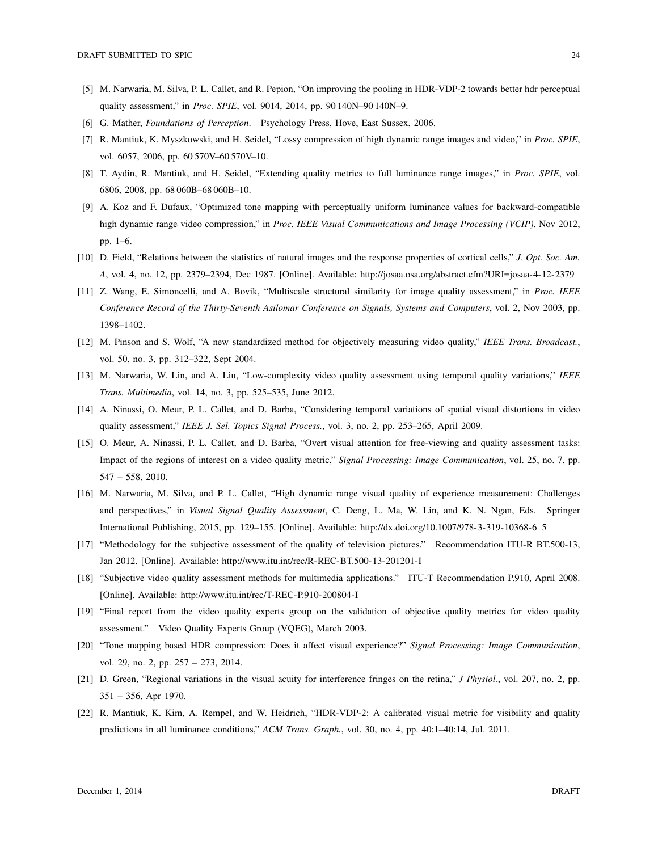- [5] M. Narwaria, M. Silva, P. L. Callet, and R. Pepion, "On improving the pooling in HDR-VDP-2 towards better hdr perceptual quality assessment," in *Proc. SPIE*, vol. 9014, 2014, pp. 90 140N–90 140N–9.
- [6] G. Mather, *Foundations of Perception*. Psychology Press, Hove, East Sussex, 2006.
- [7] R. Mantiuk, K. Myszkowski, and H. Seidel, "Lossy compression of high dynamic range images and video," in *Proc. SPIE*, vol. 6057, 2006, pp. 60 570V–60 570V–10.
- [8] T. Aydin, R. Mantiuk, and H. Seidel, "Extending quality metrics to full luminance range images," in *Proc. SPIE*, vol. 6806, 2008, pp. 68 060B–68 060B–10.
- [9] A. Koz and F. Dufaux, "Optimized tone mapping with perceptually uniform luminance values for backward-compatible high dynamic range video compression," in *Proc. IEEE Visual Communications and Image Processing (VCIP)*, Nov 2012, pp. 1–6.
- [10] D. Field, "Relations between the statistics of natural images and the response properties of cortical cells," *J. Opt. Soc. Am. A*, vol. 4, no. 12, pp. 2379–2394, Dec 1987. [Online]. Available: http://josaa.osa.org/abstract.cfm?URI=josaa-4-12-2379
- [11] Z. Wang, E. Simoncelli, and A. Bovik, "Multiscale structural similarity for image quality assessment," in *Proc. IEEE Conference Record of the Thirty-Seventh Asilomar Conference on Signals, Systems and Computers*, vol. 2, Nov 2003, pp. 1398–1402.
- [12] M. Pinson and S. Wolf, "A new standardized method for objectively measuring video quality," *IEEE Trans. Broadcast.*, vol. 50, no. 3, pp. 312–322, Sept 2004.
- [13] M. Narwaria, W. Lin, and A. Liu, "Low-complexity video quality assessment using temporal quality variations," *IEEE Trans. Multimedia*, vol. 14, no. 3, pp. 525–535, June 2012.
- [14] A. Ninassi, O. Meur, P. L. Callet, and D. Barba, "Considering temporal variations of spatial visual distortions in video quality assessment," *IEEE J. Sel. Topics Signal Process.*, vol. 3, no. 2, pp. 253–265, April 2009.
- [15] O. Meur, A. Ninassi, P. L. Callet, and D. Barba, "Overt visual attention for free-viewing and quality assessment tasks: Impact of the regions of interest on a video quality metric," *Signal Processing: Image Communication*, vol. 25, no. 7, pp. 547 – 558, 2010.
- [16] M. Narwaria, M. Silva, and P. L. Callet, "High dynamic range visual quality of experience measurement: Challenges and perspectives," in *Visual Signal Quality Assessment*, C. Deng, L. Ma, W. Lin, and K. N. Ngan, Eds. Springer International Publishing, 2015, pp. 129–155. [Online]. Available: http://dx.doi.org/10.1007/978-3-319-10368-6 5
- [17] "Methodology for the subjective assessment of the quality of television pictures." Recommendation ITU-R BT.500-13, Jan 2012. [Online]. Available: http://www.itu.int/rec/R-REC-BT.500-13-201201-I
- [18] "Subjective video quality assessment methods for multimedia applications." ITU-T Recommendation P.910, April 2008. [Online]. Available: http://www.itu.int/rec/T-REC-P.910-200804-I
- [19] "Final report from the video quality experts group on the validation of objective quality metrics for video quality assessment." Video Quality Experts Group (VQEG), March 2003.
- [20] "Tone mapping based HDR compression: Does it affect visual experience?" *Signal Processing: Image Communication*, vol. 29, no. 2, pp. 257 – 273, 2014.
- [21] D. Green, "Regional variations in the visual acuity for interference fringes on the retina," *J Physiol.*, vol. 207, no. 2, pp. 351 – 356, Apr 1970.
- [22] R. Mantiuk, K. Kim, A. Rempel, and W. Heidrich, "HDR-VDP-2: A calibrated visual metric for visibility and quality predictions in all luminance conditions," *ACM Trans. Graph.*, vol. 30, no. 4, pp. 40:1–40:14, Jul. 2011.